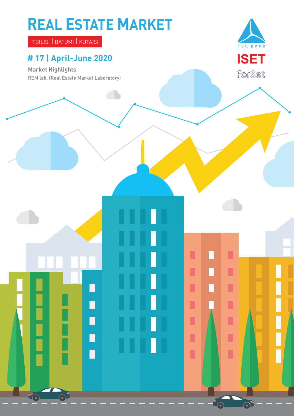# **REAL ESTATE MARKET**

TBILISI | BATUMI | KUTAISI

### **# 17 | April-June 2020**

**Market Highlights**

REM lab. (Real Estate Market Laboratory)

П

П

Π

П

G



ı

П

П

Π

Ľ

Ľ

ı

 $\odot$ 

 $\Box$ 

П

п

п

П

Π

П

n

П

П

П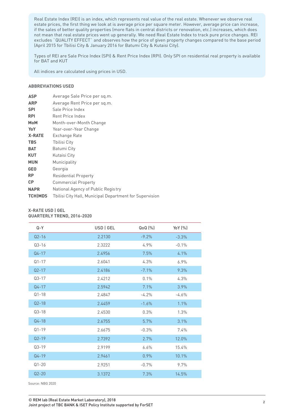Real Estate Index (REI) is an index, which represents real value of the real estate. Whenever we observe real estate prices, the first thing we look at is average price per square meter. However, average price can increase, if the sales of better quality properties (more flats in central districts or renovation, etc.) increases, which does not mean that real estate prices went up generally. We need Real Estate Index to track pure price changes. REI excludes `QUALITY EFFECT` and observes how the price of given property changes compared to the base period (April 2015 for Tbilisi City & January 2016 for Batumi City & Kutaisi City).

Types of REI are Sale Price Index (SPI) & Rent Price Index (RPI). Only SPI on residential real property is available for BAT and KUT

All indices are calculated using prices in USD.

#### **ABBREVIATIONS USED**

| <b>ASP</b>     | Average Sale Price per sq.m.                            |
|----------------|---------------------------------------------------------|
| <b>ARP</b>     | Average Rent Price per sq.m.                            |
| <b>SPI</b>     | Sale Price Index                                        |
| <b>RPI</b>     | Rent Price Index                                        |
| <b>MoM</b>     | Month-over-Month Change                                 |
| YoY            | Year-over-Year Change                                   |
| <b>X-RATE</b>  | Exchange Rate                                           |
| <b>TBS</b>     | Tbilisi City                                            |
| <b>BAT</b>     | Batumi City                                             |
| <b>KUT</b>     | Kutaisi City                                            |
| <b>MUN</b>     | Municipality                                            |
| <b>GEO</b>     | Georgia                                                 |
| <b>RP</b>      | Residential Property                                    |
| <b>CP</b>      | <b>Commercial Property</b>                              |
| <b>NAPR</b>    | National Agency of Public Registry                      |
| <b>TCHIMDS</b> | Tbilisi City Hall, Municipal Department for Supervision |

#### **X-RATE USD | GEL QUARTERLY TREND, 2016-2020**

| Q-Y       | USD   GEL | QoQ (%) | YoY (%) |
|-----------|-----------|---------|---------|
| $Q2 - 16$ | 2.2130    | $-9.2%$ | $-3.3%$ |
| $Q3 - 16$ | 2.3222    | 4.9%    | $-0.1%$ |
| $Q4 - 17$ | 2.4956    | 7.5%    | 4.1%    |
| $Q1 - 17$ | 2.6041    | 4.3%    | 6.9%    |
| $Q2 - 17$ | 2.4186    | $-7.1%$ | 9.3%    |
| $Q3 - 17$ | 2.4212    | 0.1%    | 4.3%    |
| $Q4 - 17$ | 2.5942    | 7.1%    | 3.9%    |
| $Q1 - 18$ | 2.4847    | $-4.2%$ | $-4.6%$ |
| $Q2 - 18$ | 2.4459    | $-1.6%$ | 1.1%    |
| $Q3 - 18$ | 2.4530    | 0.3%    | 1.3%    |
| $Q4 - 18$ | 2.6755    | 5.7%    | 3.1%    |
| $Q1 - 19$ | 2.6675    | $-0.3%$ | 7.4%    |
| $Q2-19$   | 2.7392    | 2.7%    | 12.0%   |
| $Q3-19$   | 2.9199    | 6.6%    | 15.4%   |
| $Q4 - 19$ | 2.9461    | 0.9%    | 10.1%   |
| $Q1 - 20$ | 2.9251    | $-0.7%$ | 9.7%    |
| $Q2 - 20$ | 3.1372    | 7.3%    | 14.5%   |
|           |           |         |         |

Source: NBG 2020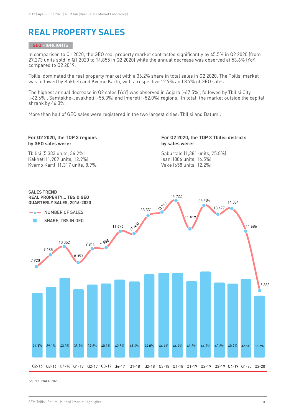### **REAL PROPERTY SALES**

#### GEO HIGHLIGHTS

In comparison to Q1 2020, the GEO real property market contracted significantly by 45.5% in Q2 2020 (from 27,273 units sold in Q1 2020 to 14,855 in Q2 2020) while the annual decrease was observed at 53.6% (YoY) compared to Q2 2019.

Tbilisi dominated the real property market with a 36.2% share in total sales in Q2 2020. The Tbilisi market was followed by Kakheti and Kvemo Kartli, with a respective 12.9% and 8.9% of GEO sales.

The highest annual decrease in Q2 sales (YoY) was observed in Adjara (-67.5%), followed by Tbilisi City (-62.6%), Samtskhe-Javakheti (-55.3%) and Imereti (-52.0%) regions. In total, the market outside the capital shrank by 46.3%.

More than half of GEO sales were registered in the two largest cities: Tbilisi and Batumi.

#### **For Q2 2020, the TOP 3 regions by GEO sales were:**

**For Q2 2020, the TOP 3 Tbilisi districts by sales were:**

Tbilisi (5,383 units, 36.2%) Kakheti (1,909 units, 12.9%) Kvemo Kartli (1,317 units, 8.9%) Saburtalo (1,381 units, 25.8%) Isani (886 units, 16.5%) Vake (658 units, 12.2%)

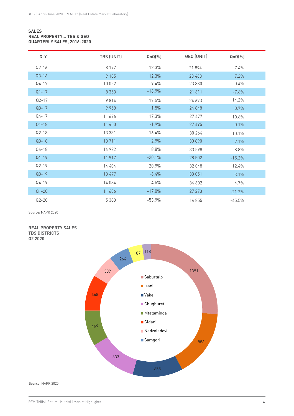#### **SALES REAL PROPERTY… TBS & GEO QUARTERLY SALES, 2016-2020**

| $Q - Y$   | TBS (UNIT) | $QoQ(\%)$ | GEO (UNIT) | $QoQ(\%)$ |
|-----------|------------|-----------|------------|-----------|
| $Q2 - 16$ | 8 1 7 7    | 12.3%     | 21894      | 7.4%      |
| $Q3-16$   | 9 1 8 5    | 12.3%     | 23 468     | 7.2%      |
| $Q4 - 17$ | 10 052     | 9.4%      | 23 380     | $-0.4%$   |
| $Q1 - 17$ | 8 3 5 3    | $-16.9%$  | 21 611     | $-7.6%$   |
| $Q2-17$   | 9814       | 17.5%     | 24 673     | 14.2%     |
| $Q3 - 17$ | 9 9 5 8    | 1.5%      | 24 8 4 8   | 0.7%      |
| $Q4 - 17$ | 11 676     | 17.3%     | 27 477     | 10.6%     |
| $Q1 - 18$ | 11 450     | $-1.9%$   | 27 495     | 0.1%      |
| $Q2-18$   | 13 331     | 16.4%     | 30 264     | 10.1%     |
| $Q3-18$   | 13 711     | 2.9%      | 30 890     | 2.1%      |
| $Q4 - 18$ | 14 9 22    | 8.8%      | 33 598     | 8.8%      |
| $Q1 - 19$ | 11 917     | $-20.1%$  | 28 502     | $-15.2%$  |
| $Q2 - 19$ | 14 404     | 20.9%     | 32 048     | 12.4%     |
| $Q3-19$   | 13 477     | $-6.4%$   | 33 051     | 3.1%      |
| Q4-19     | 14 084     | 4.5%      | 34 602     | 4.7%      |
| $Q1 - 20$ | 11 686     | $-17.0%$  | 27 273     | $-21.2%$  |
| $Q2 - 20$ | 5 3 8 3    | $-53.9%$  | 14855      | $-45.5%$  |

Source: NAPR 2020

#### **REAL PROPERTY SALES TBS DISTRICTS Q2 2020**

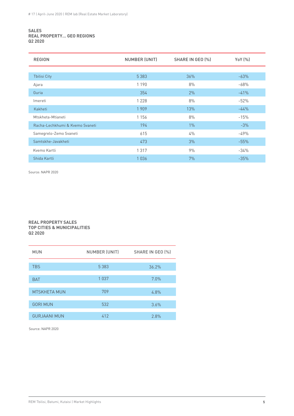#### **SALES REAL PROPERTY… GEO REGIONS Q2 2020**

| <b>REGION</b>                   | NUMBER (UNIT) | SHARE IN GEO (%) | YoY (%) |
|---------------------------------|---------------|------------------|---------|
|                                 |               |                  |         |
| <b>Thilisi City</b>             | 5 3 8 3       | 36%              | $-63%$  |
| Ajara                           | 1 1 9 0       | 8%               | $-68%$  |
| Guria                           | 354           | 2%               | $-41%$  |
| Imereti                         | 1 2 2 8       | 8%               | $-52%$  |
| Kakheti                         | 1909          | 13%              | $-44%$  |
| Mtskheta-Mtianeti               | 1 1 5 6       | 8%               | $-15%$  |
| Racha-Lechkhumi & Kvemo Svaneti | 194           | $1\%$            | $-3%$   |
| Samegrelo-Zemo Svaneti          | 615           | 4%               | $-49%$  |
| Samtskhe-Javakheti              | 473           | 3%               | $-55%$  |
| Kvemo Kartli                    | 1317          | 9%               | $-34%$  |
| Shida Kartli                    | 1036          | 7%               | $-35%$  |

Source: NAPR 2020

#### **REAL PROPERTY SALES TOP CITIES & MUNICIPALITIES Q2 2020**

| <b>MUN</b>          | NUMBER (UNIT) | SHARE IN GEO (%) |
|---------------------|---------------|------------------|
|                     |               |                  |
| <b>TBS</b>          | 5 3 8 3       | 36.2%            |
|                     |               |                  |
| <b>BAT</b>          | 1037          | 7.0%             |
|                     |               |                  |
| <b>MTSKHETA MUN</b> | 709           | 4.8%             |
|                     |               |                  |
| <b>GORI MUN</b>     | 532           | 3.6%             |
|                     |               |                  |
| <b>GURJAANI MUN</b> | 412           | 2.8%             |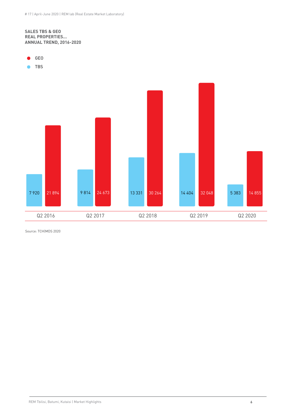#### **SALES TBS & GEO REAL PROPERTIES... ANNUAL TREND, 2016-2020**



 $\bullet$ TBS

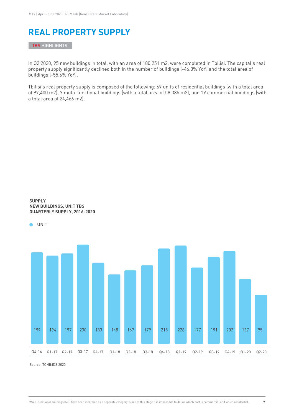### **REAL PROPERTY SUPPLY**

TBS HIGHLIGHTS

**SUPPLY** 

In Q2 2020, 95 new buildings in total, with an area of 180,251 m2, were completed in Tbilisi. The capital's real property supply significantly declined both in the number of buildings (-46.3% YoY) and the total area of buildings (-55.6% YoY).

Tbilisi's real property supply is composed of the following: 69 units of residential buildings (with a total area of 97,400 m2), 7 multi-functional buildings (with a total area of 58,385 m2), and 19 commercial buildings (with a total area of 24,466 m2).

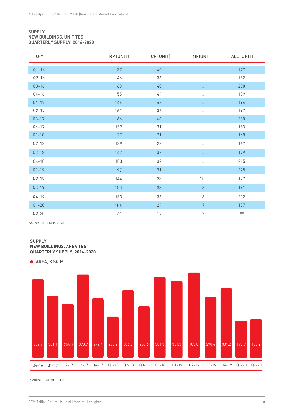#### **SUPPLY NEW BUILDINGS, UNIT TBS QUARTERLY SUPPLY, 2016-2020**

| $Q - Y$   | RP (UNIT) | CP (UNIT) | MF(UNIT)       | ALL (UNIT) |
|-----------|-----------|-----------|----------------|------------|
| $Q1 - 16$ | 137       | 40        | $\ldots$       | 177        |
| $Q2 - 16$ | 146       | 36        | $\cdots$       | 182        |
| $Q3 - 16$ | 168       | $40\,$    | $\cdots$       | 208        |
| $Q4 - 16$ | 155       | 44        | $\cdots$       | 199        |
| $Q1 - 17$ | 146       | 48        | $\cdots$       | 194        |
| $Q2 - 17$ | 161       | 36        | $\cdots$       | 197        |
| $Q3-17$   | 166       | 64        | $\ldots$       | 230        |
| $Q4 - 17$ | 152       | 31        | $\cdots$       | 183        |
| $Q1 - 18$ | 127       | 21        | $\ldots$       | 148        |
| $Q2 - 18$ | 139       | 28        | $\cdots$       | 167        |
| $Q3-18$   | 142       | 37        | $\cdots$       | 179        |
| $Q4 - 18$ | 183       | 32        | $\cdots$       | 215        |
| $Q1 - 19$ | 197       | 31        | $\cdots$       | 228        |
| $Q2 - 19$ | 144       | 23        | $10\,$         | 177        |
| $Q3-19$   | 150       | 33        | $\,8\,$        | 191        |
| $Q4 - 19$ | 153       | 36        | 13             | 202        |
| $Q1 - 20$ | 106       | 24        | $\overline{7}$ | 137        |
| $Q2 - 20$ | 69        | 19        | 7              | 95         |

Source: TCH|MDS 2020

#### **SUPPLY NEW BUILDINGS, AREA TBS QUARTERLY SUPPLY, 2016-2020**

● AREA, K SQ.M.

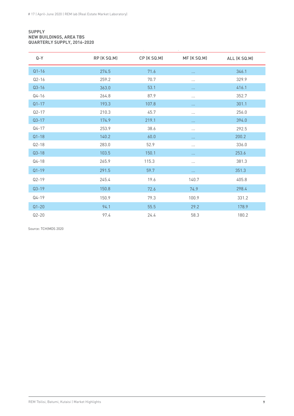#### **SUPPLY NEW BUILDINGS, AREA TBS QUARTERLY SUPPLY, 2016-2020**

| $Q - Y$   | RP (K SQ.M) | CP (K SQ.M) | MF (K SQ.M)          | ALL (K SQ.M) |
|-----------|-------------|-------------|----------------------|--------------|
| $Q1 - 16$ | 274.5       | 71.6        | $\cdots$             | 346.1        |
| $Q2 - 16$ | 259.2       | 70.7        | $\cdots$             | 329.9        |
| $Q3 - 16$ | 363.0       | 53.1        | $\cdots$             | 416.1        |
| $Q4 - 16$ | 264.8       | 87.9        | $\cdots$             | 352.7        |
| $Q1 - 17$ | 193.3       | 107.8       | $\cdots$             | 301.1        |
| $Q2 - 17$ | 210.3       | 45.7        | $\cdots$             | 256.0        |
| $Q3-17$   | 174.9       | 219.1       | $\sim$ $\sim$ $\sim$ | 394.0        |
| $Q4 - 17$ | 253.9       | 38.6        | $\cdots$             | 292.5        |
| $Q1 - 18$ | 140.2       | 60.0        | $\cdots$             | 200.2        |
| $Q2-18$   | 283.0       | 52.9        | $\cdots$             | 336.0        |
| $Q3-18$   | 103.5       | 150.1       | $\ldots$             | 253.6        |
| $Q4 - 18$ | 265.9       | 115.3       | $\cdots$             | 381.3        |
| $Q1 - 19$ | 291.5       | 59.7        | $\cdots$             | 351.3        |
| $Q2 - 19$ | 245.4       | 19.6        | 140.7                | 405.8        |
| $Q3 - 19$ | 150.8       | 72.6        | 74.9                 | 298.4        |
| $Q4 - 19$ | 150.9       | 79.3        | 100.9                | 331.2        |
| $Q1 - 20$ | 94.1        | 55.5        | 29.2                 | 178.9        |
| $Q2 - 20$ | 97.4        | 24.4        | 58.3                 | 180.2        |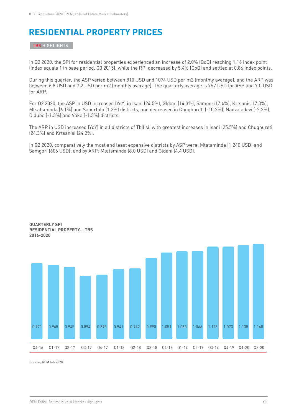# **RESIDENTIAL PROPERTY PRICES**

TBS HIGHLIGHTS

In Q2 2020, the SPI for residential properties experienced an increase of 2.0% (QoQ) reaching 1.16 index point (index equals 1 in base period, Q3 2015), while the RPI decreased by 5.4% (QoQ) and settled at 0.86 index points.

During this quarter, the ASP varied between 810 USD and 1074 USD per m2 (monthly average), and the ARP was between 6.8 USD and 7.2 USD per m2 (monthly average). The quarterly average is 957 USD for ASP and 7.0 USD for ARP.

For Q2 2020, the ASP in USD increased (YoY) in Isani (24.5%), Gldani (14.3%), Samgori (7.4%), Krtsanisi (7.3%), Mtsatsminda (6.1%) and Saburtalo (1.2%) districts, and decreased in Chughureti (-10.2%), Nadzaladevi (-2.2%), Didube (-1.3%) and Vake (-1.3%) districts.

The ARP in USD increased (YoY) in all districts of Tbilisi, with greatest increases in Isani (25.5%) and Chughureti (24.3%) and Krtsanisi (24.2%).

In Q2 2020, comparatively the most and least expensive districts by ASP were: Mtatsminda (1,240 USD) and Samgori (606 USD); and by ARP: Mtatsminda (8.0 USD) and Gldani (4.4 USD).



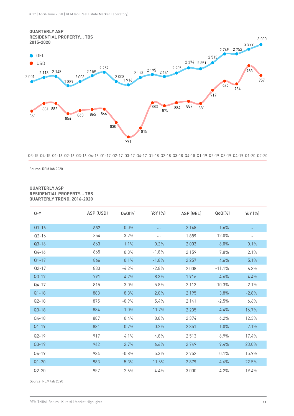

Q3-15 Q4-15 Q1-16 Q2-16 Q3-16 Q4-16 Q1-17 Q2-17 Q3-17 Q4-17 Q1-18 Q2-18 Q3-18 Q4-18 Q1-19 Q2-19 Q3-19 Q4-19 Q1-20 Q2-20

Source: REM lab 2020

#### **QUARTERLY ASP RESIDENTIAL PROPERTY… TBS QUARTERLY TREND, 2016-2020**

| Q-Y       | ASP (USD) | $QoQ(\%)$ | YoY (%)  | ASP (GEL) | $QoQ(\%)$ | YoY (%)  |
|-----------|-----------|-----------|----------|-----------|-----------|----------|
| $Q1 - 16$ | 882       | 0.0%      |          | 2 1 4 8   | 1.6%      | $\ldots$ |
| $Q2 - 16$ | 854       | $-3.2%$   | $\cdots$ | 1889      | $-12.0%$  | $\cdots$ |
| $Q3 - 16$ | 863       | 1.1%      | 0.2%     | 2003      | 6.0%      | 0.1%     |
| $Q4 - 16$ | 865       | 0.3%      | $-1.8%$  | 2 1 5 9   | 7.8%      | 2.1%     |
| $Q1 - 17$ | 866       | 0.1%      | $-1.8%$  | 2 2 5 7   | 4.6%      | 5.1%     |
| $Q2 - 17$ | 830       | $-4.2%$   | $-2.8%$  | 2 0 0 8   | $-11.1%$  | 6.3%     |
| $Q3 - 17$ | 791       | $-4.7%$   | $-8.3%$  | 1916      | $-4.6%$   | $-4.4%$  |
| $Q4 - 17$ | 815       | 3.0%      | $-5.8%$  | 2 1 1 3   | 10.3%     | $-2.1%$  |
| $Q1 - 18$ | 883       | 8.3%      | 2.0%     | 2 1 9 5   | 3.8%      | $-2.8%$  |
| $Q2 - 18$ | 875       | $-0.9%$   | 5.4%     | 2 1 4 1   | $-2.5%$   | 6.6%     |
| $Q3-18$   | 884       | 1.0%      | 11.7%    | 2 2 3 5   | 4.4%      | 16.7%    |
| $Q4 - 18$ | 887       | 0.4%      | 8.8%     | 2 3 7 4   | 6.2%      | 12.3%    |
| $Q1 - 19$ | 881       | $-0.7%$   | $-0.2%$  | 2 3 5 1   | $-1.0%$   | 7.1%     |
| $Q2 - 19$ | 917       | 4.1%      | 4.8%     | 2513      | 6.9%      | 17.4%    |
| $Q3-19$   | 942       | 2.7%      | 6.6%     | 2749      | 9.4%      | 23.0%    |
| $Q4 - 19$ | 934       | $-0.8%$   | 5.3%     | 2752      | 0.1%      | 15.9%    |
| $Q1 - 20$ | 983       | 5.3%      | 11.6%    | 2879      | 4.6%      | 22.5%    |
| $Q2 - 20$ | 957       | $-2.6%$   | 4.4%     | 3 0 0 0   | 4.2%      | 19.4%    |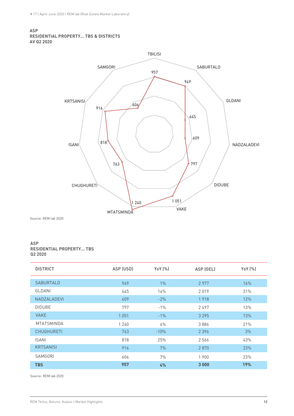#### **ASP RESIDENTIAL PROPERTY... TBS & DISTRICTS AV Q2 2020**



Source: REM lab 2020

#### **ASP RESIDENTIAL PROPERTY... TBS Q2 2020**

| <b>DISTRICT</b>    | ASP (USD) | YoY (%) | ASP (GEL) | YoY (%) |
|--------------------|-----------|---------|-----------|---------|
|                    |           |         |           |         |
| <b>SABURTALO</b>   | 949       | $1\%$   | 2977      | 16%     |
| GLDANI             | 645       | 14%     | 2019      | 31%     |
| <b>NADZALADEVI</b> | 609       | $-2%$   | 1918      | 12%     |
| <b>DIDUBE</b>      | 797       | $-1%$   | 2497      | 13%     |
| <b>VAKE</b>        | 1051      | $-1%$   | 3 2 9 5   | 13%     |
| <b>MTATSMINDA</b>  | 1 2 4 0   | 6%      | 3886      | 21%     |
| <b>CHUGHURETI</b>  | 763       | $-10%$  | 2 3 9 6   | 3%      |
| <b>ISANI</b>       | 818       | 25%     | 2566      | 43%     |
| <b>KRTSANISI</b>   | 916       | 7%      | 2870      | 23%     |
| SAMGORI            | 606       | 7%      | 1900      | 23%     |
| <b>TBS</b>         | 957       | 4%      | 3000      | 19%     |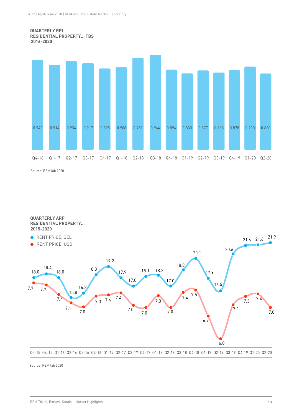



Source: REM lab 2020

**QUARTERLY ARP RESIDENTIAL PROPERTY... 2015-2020**



Q3-15 Q4-15 Q1-16 Q2-16 Q3-16 Q4-16 Q1-17 Q2-17 Q3-17 Q4-17 Q1-18 Q2-18 Q3-18 Q4-18 Q1-19 Q2-19 Q3-19 Q4-19 Q1-20 Q2-20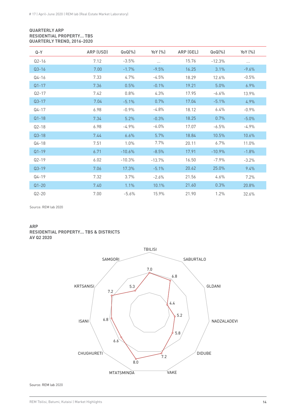#### **QUARTERLY ARP RESIDENTIAL PROPERTY… TBS QUARTERLY TREND, 2016-2020**

| Q-Y       | ARP (USD) | $QoQ(\%)$ | YoY (%)  | ARP (GEL) | $QoQ(\%)$ | YoY (%)  |
|-----------|-----------|-----------|----------|-----------|-----------|----------|
| $Q2 - 16$ | 7.12      | $-3.5%$   | $\cdots$ | 15.76     | $-12.3%$  | $\cdots$ |
| $Q3 - 16$ | 7.00      | $-1.7%$   | $-9.5%$  | 16.25     | 3.1%      | $-9.6%$  |
| $Q4 - 16$ | 7.33      | 4.7%      | $-4.5%$  | 18.29     | 12.6%     | $-0.5%$  |
| $Q1 - 17$ | 7.36      | 0.5%      | $-0.1%$  | 19.21     | 5.0%      | 6.9%     |
| $Q2 - 17$ | 7.42      | 0.8%      | 4.3%     | 17.95     | $-6.6%$   | 13.9%    |
| $Q3 - 17$ | 7.04      | $-5.1%$   | 0.7%     | 17.04     | $-5.1%$   | 4.9%     |
| $Q4 - 17$ | 6.98      | $-0.9%$   | $-4.8%$  | 18.12     | 6.4%      | $-0.9%$  |
| $Q1 - 18$ | 7.34      | 5.2%      | $-0.3%$  | 18.25     | 0.7%      | $-5.0%$  |
| $Q2-18$   | 6.98      | $-4.9%$   | $-6.0\%$ | 17.07     | $-6.5%$   | $-4.9%$  |
| $Q3-18$   | 7.44      | 6.6%      | 5.7%     | 18.84     | 10.5%     | 10.6%    |
| $Q4 - 18$ | 7.51      | 1.0%      | 7.7%     | 20.11     | 6.7%      | 11.0%    |
| $Q1 - 19$ | 6.71      | $-10.6%$  | $-8.5%$  | 17.91     | $-10.9%$  | $-1.8%$  |
| $Q2 - 19$ | 6.02      | $-10.3%$  | $-13.7%$ | 16.50     | $-7.9%$   | $-3.2%$  |
| $Q3-19$   | 7.06      | 17.3%     | $-5.1%$  | 20.62     | 25.0%     | 9.4%     |
| $Q4 - 19$ | 7.32      | 3.7%      | $-2.6%$  | 21.56     | 4.6%      | 7.2%     |
| $Q1 - 20$ | 7.40      | 1.1%      | 10.1%    | 21.60     | 0.3%      | 20.8%    |
| $Q2 - 20$ | 7.00      | $-5.6%$   | 15.9%    | 21.90     | 1.2%      | 32.6%    |

Source: REM lab 2020

#### **ARP RESIDENTIAL PROPERTY... TBS & DISTRIC TS AV Q2 2020**

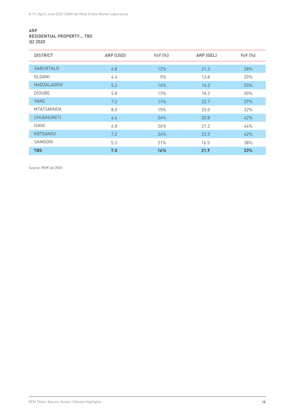#### **ARP RESIDENTIAL PROPERTY... TBS Q2 2020**

| <b>DISTRICT</b>    | ARP (USD) | YoY (%) | ARP (GEL) | YoY (%) |
|--------------------|-----------|---------|-----------|---------|
|                    |           |         |           |         |
| <b>SABURTALO</b>   | 6.8       | 12%     | 21.3      | 28%     |
| GLDANI             | 4.4       | 5%      | 13.8      | 20%     |
| <b>NADZALADEVI</b> | 5.2       | 16%     | 16.3      | 33%     |
| <b>DIDUBE</b>      | 5.8       | 13%     | 18.2      | 30%     |
| <b>VAKE</b>        | 7.2       | 11%     | 22.7      | 27%     |
| <b>MTATSMINDA</b>  | 8.0       | 15%     | 25.0      | 32%     |
| <b>CHUGHURETI</b>  | 6.6       | 24%     | 20.8      | 42%     |
| <b>ISANI</b>       | 6.8       | 26%     | 21.2      | 44%     |
| <b>KRTSANISI</b>   | 7.2       | 24%     | 22.5      | 42%     |
| SAMGORI            | 5.3       | 21%     | 16.5      | 38%     |
| <b>TBS</b>         | 7.0       | 16%     | 21.9      | 33%     |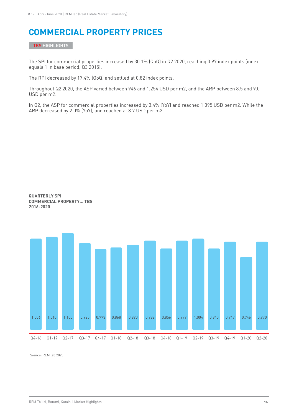## **COMMERCIAL PROPERTY PRICES**

TBS HIGHLIGHTS

The SPI for commercial properties increased by 30.1% (QoQ) in Q2 2020, reaching 0.97 index points (index equals 1 in base period, Q3 2015).

The RPI decreased by 17.4% (QoQ) and settled at 0.82 index points.

Throughout Q2 2020, the ASP varied between 946 and 1,254 USD per m2, and the ARP between 8.5 and 9.0 USD per m2.

In Q2, the ASP for commercial properties increased by 3.4% (YoY) and reached 1,095 USD per m2. While the ARP decreased by 2.0% (YoY), and reached at 8.7 USD per m2.



**QUARTERLY SPI COMMERCIAL PROPERTY... TBS 2016-2020**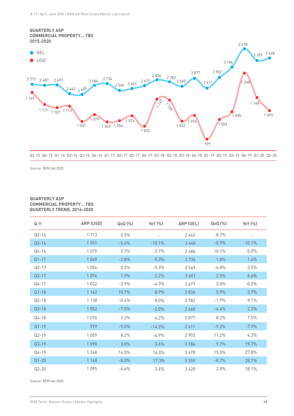

```
Q3-15 Q4-15 Q1-16 Q2-16 Q3-16 Q4-16 Q1-17 Q2-17 Q3-17 Q4-17 Q1-18 Q2-18 Q3-18 Q4-18 Q1-19 Q2-19 Q3-19 Q4-19 Q1-20 Q2-20
```
Source: REM lab 2020

#### **QUARTERLY ASP COMMERCIAL PROPERTY… TBS QUARTERLY TREND, 2016-2020**

| $Q - Y$   | ARP (USD) | $Q_0Q$ $[\%]$ | Yo Y (%) | ARP (GEL) | $Q_0Q$ $[\%]$ | YoY $(%)$ |
|-----------|-----------|---------------|----------|-----------|---------------|-----------|
| $Q2 - 16$ | 1 1 1 3   | 0.5%          | $\cdots$ | 2462      | $-8.7%$       | $\cdots$  |
| $Q3 - 16$ | 1051      | $-5.6%$       | $-10.1%$ | 2440      | $-0.9%$       | $-10.1%$  |
| $Q4 - 16$ | 1079      | 2.7%          | $-3.7%$  | 2686      | 10.1%         | $0.0\%$   |
| $Q1 - 17$ | 1049      | $-2.8%$       | $-5.3%$  | 2 7 3 4   | 1.8%          | 1.4%      |
| $Q2 - 17$ | 1054      | 0.5%          | $-5.3%$  | 2549      | $-6.8%$       | 3.5%      |
| $Q3 - 17$ | 1074      | 1.9%          | 2.2%     | 2 6 0 1   | 2.0%          | 6.6%      |
| $Q4 - 17$ | 1032      | $-3.9%$       | $-4.3%$  | 2677      | 3.0%          | $-0.3%$   |
| $Q1 - 18$ | 1 1 4 2   | 10.7%         | 8.9%     | 2836      | 5.9%          | 3.7%      |
| $Q2 - 18$ | 1 1 3 8   | $-0.4%$       | 8.0%     | 2782      | $-1.9%$       | 9.1%      |
| $Q3 - 18$ | 1052      | $-7.5%$       | $-2.0%$  | 2 6 6 0   | $-4.4%$       | 2.3%      |
| $Q4 - 18$ | 1076      | 2.2%          | 4.2%     | 2877      | 8.2%          | 7.5%      |
| $Q1 - 19$ | 979       | $-9.0%$       | $-14.3%$ | 2611      | $-9.2%$       | $-7.9\%$  |
| $Q2 - 19$ | 1059      | 8.2%          | $-6.9%$  | 2 9 0 2   | 11.2%         | 4.3%      |
| $Q3 - 19$ | 1090      | 3.0%          | 3.6%     | 3 1 8 4   | 9.7%          | 19.7%     |
| $Q4 - 19$ | 1 2 4 8   | 14.5%         | 16.0%    | 3678      | 15.5%         | 27.8%     |
| $Q1 - 20$ | 1 1 4 8   | $-8.0%$       | 17.3%    | 3 3 5 9   | $-8.7%$       | 28.7%     |
| $Q2 - 20$ | 1095      | $-4.6%$       | 3.4%     | 3 4 2 8   | 2.0%          | 18.1%     |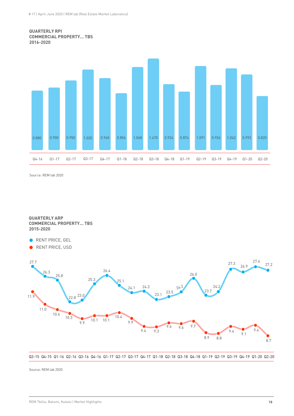#### **QUARTERLY RPI COMMERCIAL PROPERTY... TBS 2016-2020**



Source: REM lab 2020

**QUARTERLY ARP COMMERCIAL PROPERTY... TBS 2015-2020**

- RENT PRICE, GEL
- RENT PRICE, USD  $\bullet$



Q3-15 Q4-15 Q1-16 Q2-16 Q3-16 Q4-16 Q1-17 Q2-17 Q3-17 Q4-17 Q1-18 Q2-18 Q3-18 Q4-18 Q1-19 Q2-19 Q3-19 Q4-19 Q1-20 Q2-20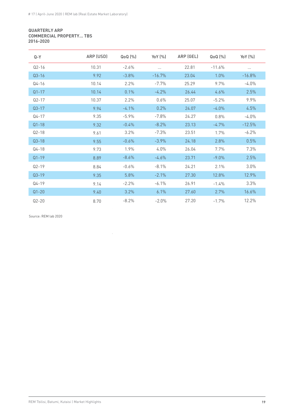#### **QUARTERLY ARP COMMERCIAL PROPERTY… TBS 2016-2020**

| $Q - Y$   | ARP (USD) | $QoQ$ $(\%)$ | Yo $Y(% )$ | ARP (GEL) | QoQ (%)  | YoY (%)  |
|-----------|-----------|--------------|------------|-----------|----------|----------|
| $Q2 - 16$ | 10.31     | $-2.6%$      | $\cdots$   | 22.81     | $-11.6%$ | $\cdots$ |
| $Q3 - 16$ | 9.92      | $-3.8%$      | $-16.7%$   | 23.04     | 1.0%     | $-16.8%$ |
| $Q4 - 16$ | 10.14     | 2.2%         | $-7.7%$    | 25.29     | 9.7%     | $-4.0\%$ |
| $Q1 - 17$ | 10.14     | 0.1%         | $-4.2%$    | 26.44     | 4.6%     | 2.5%     |
| $Q2 - 17$ | 10.37     | 2.2%         | 0.6%       | 25.07     | $-5.2%$  | 9.9%     |
| $Q3 - 17$ | 9.94      | $-4.1%$      | 0.2%       | 24.07     | $-4.0%$  | 4.5%     |
| $Q4 - 17$ | 9.35      | $-5.9%$      | $-7.8%$    | 24.27     | 0.8%     | $-4.0%$  |
| $Q1 - 18$ | 9.32      | $-0.4%$      | $-8.2%$    | 23.13     | $-4.7%$  | $-12.5%$ |
| $Q2 - 18$ | 9.61      | 3.2%         | $-7.3%$    | 23.51     | 1.7%     | $-6.2%$  |
| $Q3 - 18$ | 9.55      | $-0.6%$      | $-3.9\%$   | 24.18     | 2.8%     | 0.5%     |
| $Q4 - 18$ | 9.73      | 1.9%         | 4.0%       | 26.04     | 7.7%     | 7.3%     |
| $Q1 - 19$ | 8.89      | $-8.6%$      | $-4.6%$    | 23.71     | $-9.0\%$ | 2.5%     |
| $Q2 - 19$ | 8.84      | $-0.6%$      | $-8.1%$    | 24.21     | 2.1%     | 3.0%     |
| $Q3 - 19$ | 9.35      | 5.8%         | $-2.1%$    | 27.30     | 12.8%    | 12.9%    |
| $Q4 - 19$ | 9.14      | $-2.2%$      | $-6.1\%$   | 26.91     | $-1.4%$  | 3.3%     |
| $Q1 - 20$ | 9.40      | 3.2%         | 6.1%       | 27.60     | 2.7%     | 16.6%    |
| $Q2 - 20$ | 8.70      | $-8.2%$      | $-2.0\%$   | 27.20     | $-1.7%$  | 12.2%    |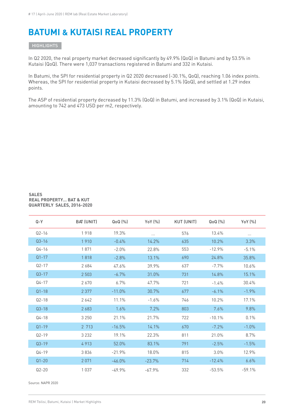### **BATUMI & KUTAISI REAL PROPERTY**

**HIGHLIGHTS** 

In Q2 2020, the real property market decreased significantly by 49.9% (QoQ) in Batumi and by 53.5% in Kutaisi (QoQ). There were 1,037 transactions registered in Batumi and 332 in Kutaisi.

In Batumi, the SPI for residential property in Q2 2020 decreased (-30.1%, QoQ), reaching 1.06 index points. Whereas, the SPI for residential property in Kutaisi decreased by 5.1% (QoQ), and settled at 1.29 index points.

The ASP of residential property decreased by 11.3% (QoQ) in Batumi, and increased by 3.1% (QoQ) in Kutaisi, amounting to 742 and 473 USD per m2, respectively.

#### **SALES REAL PROPERTY… BAT & KUT QUARTERLY SALES, 2016-2020**

| $Q - Y$   | BAT (UNIT) | $QoQ0(\%)$ | YoY (%)  | <b>KUT (UNIT)</b> | $QoQ0(\%)$ | YoY (%)  |
|-----------|------------|------------|----------|-------------------|------------|----------|
| $Q2 - 16$ | 1918       | 19.3%      |          | 576               | 13.4%      | $\cdots$ |
| $Q3 - 16$ | 1910       | $-0.4%$    | 14.2%    | 635               | 10.2%      | 3.3%     |
| $Q4 - 16$ | 1871       | $-2.0%$    | 22.8%    | 553               | $-12.9%$   | $-5.1%$  |
| $Q1 - 17$ | 1818       | $-2.8%$    | 13.1%    | 690               | 24.8%      | 35.8%    |
| $Q2 - 17$ | 2684       | 47.6%      | 39.9%    | 637               | $-7.7%$    | 10.6%    |
| $Q3 - 17$ | 2 5 0 3    | $-6.7%$    | 31.0%    | 731               | 14.8%      | 15.1%    |
| $Q4 - 17$ | 2670       | 6.7%       | 47.7%    | 721               | $-1.4%$    | 30.4%    |
| $Q1 - 18$ | 2 3 7 7    | $-11.0%$   | 30.7%    | 677               | $-6.1%$    | $-1.9%$  |
| $Q2 - 18$ | 2642       | 11.1%      | $-1.6%$  | 746               | 10.2%      | 17.1%    |
| $Q3 - 18$ | 2683       | 1.6%       | 7.2%     | 803               | 7.6%       | 9.8%     |
| $Q4 - 18$ | 3 2 5 0    | 21.1%      | 21.7%    | 722               | $-10.1%$   | 0.1%     |
| $Q1 - 19$ | 2 713      | $-16.5%$   | 14.1%    | 670               | $-7.2%$    | $-1.0%$  |
| $Q2 - 19$ | 3 2 3 2    | 19.1%      | 22.3%    | 811               | 21.0%      | 8.7%     |
| $Q3 - 19$ | 4913       | 52.0%      | 83.1%    | 791               | $-2.5%$    | $-1.5%$  |
| $Q4 - 19$ | 3836       | $-21.9%$   | 18.0%    | 815               | 3.0%       | 12.9%    |
| $Q1 - 20$ | 2 0 7 1    | $-46.0%$   | $-23.7%$ | 714               | $-12.4%$   | 6.6%     |
| $Q2 - 20$ | 1 0 3 7    | $-49.9%$   | $-67.9%$ | 332               | $-53.5%$   | $-59.1%$ |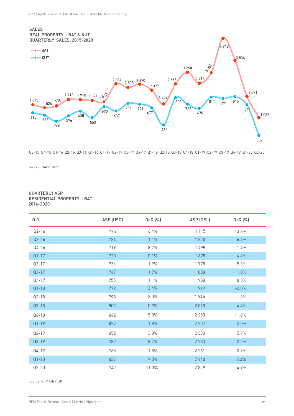

Q3-15 Q4-15 Q1-16 Q2-16 Q3-16 Q4-16 Q1-17 Q2-17 Q3-17 Q4-17 Q1-18 Q2-18 Q3-18 Q4-18 Q1-19 Q2-19 Q3-19 Q4-19 Q1-20 Q2-20

Source: NAPR 2020

#### **QUARTERLY ASP RESIDENTIAL PROPERTY… BAT 2016-2020**

| $Q - Y$   | ASP (USD) | $QoQ$ $[\%]$ | ASP (GEL) | QoQ (%) |
|-----------|-----------|--------------|-----------|---------|
| $Q2 - 16$ | 775       | 6.4%         | 1715      | $-3.3%$ |
| $Q3 - 16$ | 784       | 1.1%         | 1820      | 6.1%    |
| $Q4 - 16$ | 719       | $-8.2%$      | 1795      | $-1.4%$ |
| $Q1 - 17$ | 720       | 0.1%         | 1875      | 4.4%    |
| $Q2 - 17$ | 734       | 1.9%         | 1775      | $-5.3%$ |
| $Q3-17$   | 747       | 1.7%         | 1808      | 1.8%    |
| $Q4 - 17$ | 755       | 1.1%         | 1958      | 8.3%    |
| $Q1 - 18$ | 772       | 2.4%         | 1919      | $-2.0%$ |
| $Q2-18$   | 795       | 3.0%         | 1945      | 1.3%    |
| $Q3-18$   | 802       | 0.9%         | 2 0 3 0   | 4.4%    |
| $Q4 - 18$ | 842       | 5.0%         | 2 2 5 3   | 11.0%   |
| $Q1 - 19$ | 827       | $-1.8%$      | 2 2 0 7   | $-2.0%$ |
| $Q2 - 19$ | 852       | 3.0%         | 2 3 3 3   | 5.7%    |
| $Q3-19$   | 782       | $-8.2%$      | 2 2 8 3   | $-2.2%$ |
| Q4-19     | 768       | $-1.8%$      | 2 2 6 1   | $-0.9%$ |
| $Q1 - 20$ | 837       | 9.0%         | 2448      | 8.3%    |
| $Q2 - 20$ | 742       | $-11.3%$     | 2 3 2 9   | $-4.9%$ |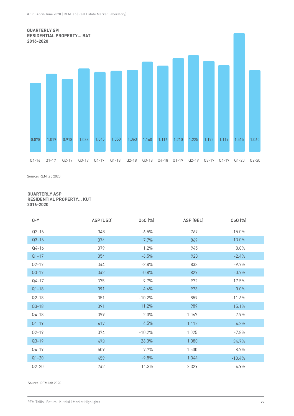

Source: REM lab 2020

#### **QUARTERLY ASP RESIDENTIAL PROPERTY… KUT 2016-2020**

| $Q - Y$   | ASP (USD) | QoQ (%)  | ASP (GEL) | QoQ (%)  |
|-----------|-----------|----------|-----------|----------|
| $Q2 - 16$ | 348       | $-6.5%$  | 769       | $-15.0%$ |
| $Q3 - 16$ | 374       | 7.7%     | 869       | 13.0%    |
| $Q4 - 16$ | 379       | 1.2%     | 945       | 8.8%     |
| $Q1 - 17$ | 354       | $-6.5%$  | 923       | $-2.4%$  |
| $Q2 - 17$ | 344       | $-2.8%$  | 833       | $-9.7%$  |
| $Q3 - 17$ | 342       | $-0.8%$  | 827       | $-0.7%$  |
| $Q4 - 17$ | 375       | 9.7%     | 972       | 17.5%    |
| $Q1 - 18$ | 391       | 4.4%     | 973       | 0.0%     |
| $Q2 - 18$ | 351       | $-10.2%$ | 859       | $-11.6%$ |
| $Q3 - 18$ | 391       | 11.2%    | 989       | 15.1%    |
| $Q4 - 18$ | 399       | 2.0%     | 1067      | 7.9%     |
| $Q1 - 19$ | 417       | 4.5%     | 1 1 1 2   | 4.2%     |
| $Q2 - 19$ | 374       | $-10.2%$ | 1025      | $-7.8%$  |
| $Q3 - 19$ | 473       | 26.3%    | 1 3 8 0   | 34.7%    |
| $Q4 - 19$ | 509       | 7.7%     | 1500      | 8.7%     |
| $Q1 - 20$ | 459       | $-9.8%$  | 1 3 4 4   | $-10.4%$ |
| $Q2 - 20$ | 742       | $-11.3%$ | 2 3 2 9   | $-4.9%$  |